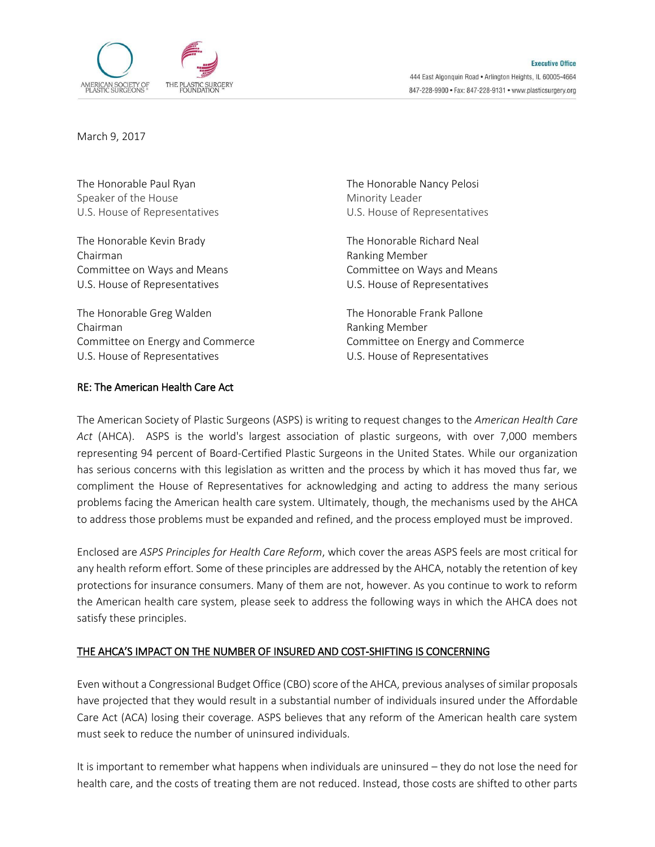

March 9, 2017

The Honorable Paul Ryan The Honorable Nancy Pelosi Speaker of the House Minority Leader

The Honorable Kevin Brady The Honorable Richard Neal Chairman **Ranking Member** Ranking Member Committee on Ways and Means **Committee on Ways and Means** U.S. House of Representatives U.S. House of Representatives

The Honorable Greg Walden The Honorable Frank Pallone Chairman Ranking Member Committee on Energy and Commerce Committee on Energy and Commerce U.S. House of Representatives U.S. House of Representatives

## RE: The American Health Care Act

U.S. House of Representatives U.S. House of Representatives

The American Society of Plastic Surgeons (ASPS) is writing to request changes to the *American Health Care Act* (AHCA). ASPS is the world's largest association of plastic surgeons, with over 7,000 members representing 94 percent of Board-Certified Plastic Surgeons in the United States. While our organization has serious concerns with this legislation as written and the process by which it has moved thus far, we compliment the House of Representatives for acknowledging and acting to address the many serious problems facing the American health care system. Ultimately, though, the mechanisms used by the AHCA to address those problems must be expanded and refined, and the process employed must be improved.

Enclosed are *ASPS Principles for Health Care Reform*, which cover the areas ASPS feels are most critical for any health reform effort. Some of these principles are addressed by the AHCA, notably the retention of key protections for insurance consumers. Many of them are not, however. As you continue to work to reform the American health care system, please seek to address the following ways in which the AHCA does not satisfy these principles.

## THE AHCA'S IMPACT ON THE NUMBER OF INSURED AND COST-SHIFTING IS CONCERNING

Even without a Congressional Budget Office (CBO) score of the AHCA, previous analyses of similar proposals have projected that they would result in a substantial number of individuals insured under the Affordable Care Act (ACA) losing their coverage. ASPS believes that any reform of the American health care system must seek to reduce the number of uninsured individuals.

It is important to remember what happens when individuals are uninsured – they do not lose the need for health care, and the costs of treating them are not reduced. Instead, those costs are shifted to other parts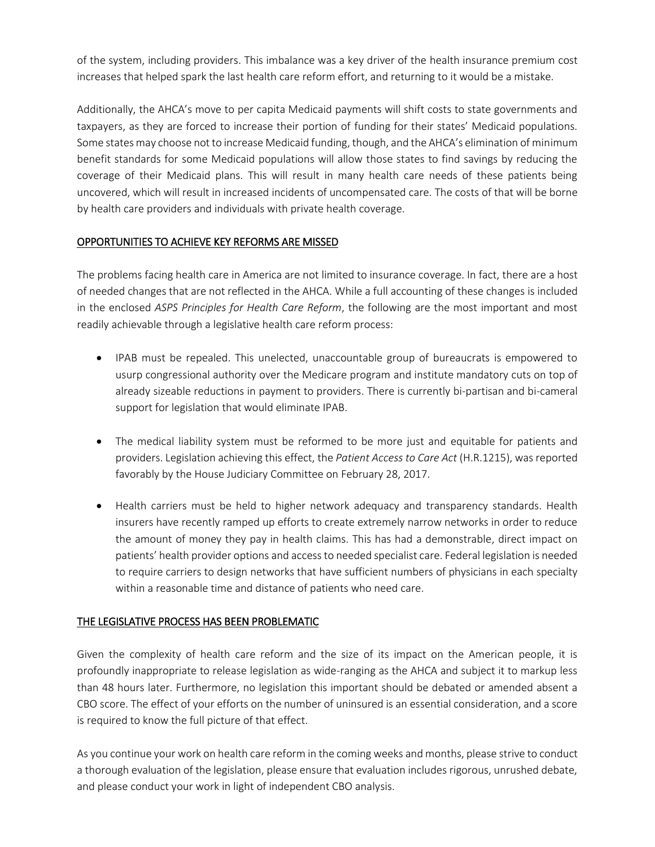of the system, including providers. This imbalance was a key driver of the health insurance premium cost increases that helped spark the last health care reform effort, and returning to it would be a mistake.

Additionally, the AHCA's move to per capita Medicaid payments will shift costs to state governments and taxpayers, as they are forced to increase their portion of funding for their states' Medicaid populations. Some states may choose not to increase Medicaid funding, though, and the AHCA's elimination of minimum benefit standards for some Medicaid populations will allow those states to find savings by reducing the coverage of their Medicaid plans. This will result in many health care needs of these patients being uncovered, which will result in increased incidents of uncompensated care. The costs of that will be borne by health care providers and individuals with private health coverage.

# OPPORTUNITIES TO ACHIEVE KEY REFORMS ARE MISSED

The problems facing health care in America are not limited to insurance coverage. In fact, there are a host of needed changes that are not reflected in the AHCA. While a full accounting of these changes is included in the enclosed *ASPS Principles for Health Care Reform*, the following are the most important and most readily achievable through a legislative health care reform process:

- IPAB must be repealed. This unelected, unaccountable group of bureaucrats is empowered to usurp congressional authority over the Medicare program and institute mandatory cuts on top of already sizeable reductions in payment to providers. There is currently bi-partisan and bi-cameral support for legislation that would eliminate IPAB.
- The medical liability system must be reformed to be more just and equitable for patients and providers. Legislation achieving this effect, the *Patient Access to Care Act* (H.R.1215), was reported favorably by the House Judiciary Committee on February 28, 2017.
- Health carriers must be held to higher network adequacy and transparency standards. Health insurers have recently ramped up efforts to create extremely narrow networks in order to reduce the amount of money they pay in health claims. This has had a demonstrable, direct impact on patients' health provider options and access to needed specialist care. Federal legislation is needed to require carriers to design networks that have sufficient numbers of physicians in each specialty within a reasonable time and distance of patients who need care.

## THE LEGISLATIVE PROCESS HAS BEEN PROBLEMATIC

Given the complexity of health care reform and the size of its impact on the American people, it is profoundly inappropriate to release legislation as wide-ranging as the AHCA and subject it to markup less than 48 hours later. Furthermore, no legislation this important should be debated or amended absent a CBO score. The effect of your efforts on the number of uninsured is an essential consideration, and a score is required to know the full picture of that effect.

As you continue your work on health care reform in the coming weeks and months, please strive to conduct a thorough evaluation of the legislation, please ensure that evaluation includes rigorous, unrushed debate, and please conduct your work in light of independent CBO analysis.